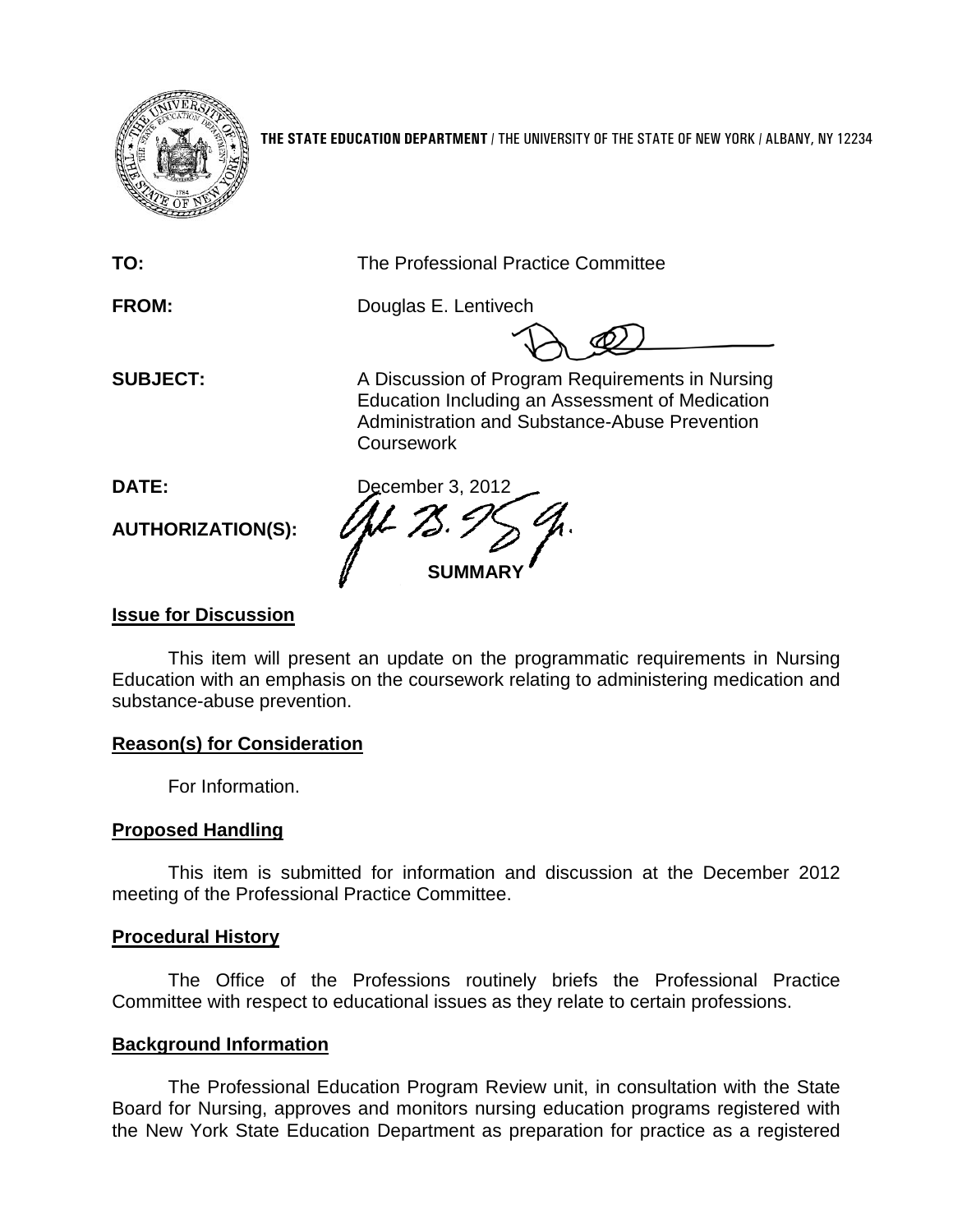

**THE STATE EDUCATION DEPARTMENT** / THE UNIVERSITY OF THE STATE OF NEW YORK / ALBANY, NY 12234

**TO:** The Professional Practice Committee

**FROM:** Douglas E. Lentivech

**SUBJECT:** A Discussion of Program Requirements in Nursing Education Including an Assessment of Medication Administration and Substance-Abuse Prevention **Coursework** 

**AUTHORIZATION(S):**

**DATE:** December 3, 2012 **SUMMARY**

# **Issue for Discussion**

This item will present an update on the programmatic requirements in Nursing Education with an emphasis on the coursework relating to administering medication and substance-abuse prevention.

# **Reason(s) for Consideration**

For Information.

# **Proposed Handling**

This item is submitted for information and discussion at the December 2012 meeting of the Professional Practice Committee.

# **Procedural History**

The Office of the Professions routinely briefs the Professional Practice Committee with respect to educational issues as they relate to certain professions.

# **Background Information**

The Professional Education Program Review unit, in consultation with the State Board for Nursing, approves and monitors nursing education programs registered with the New York State Education Department as preparation for practice as a registered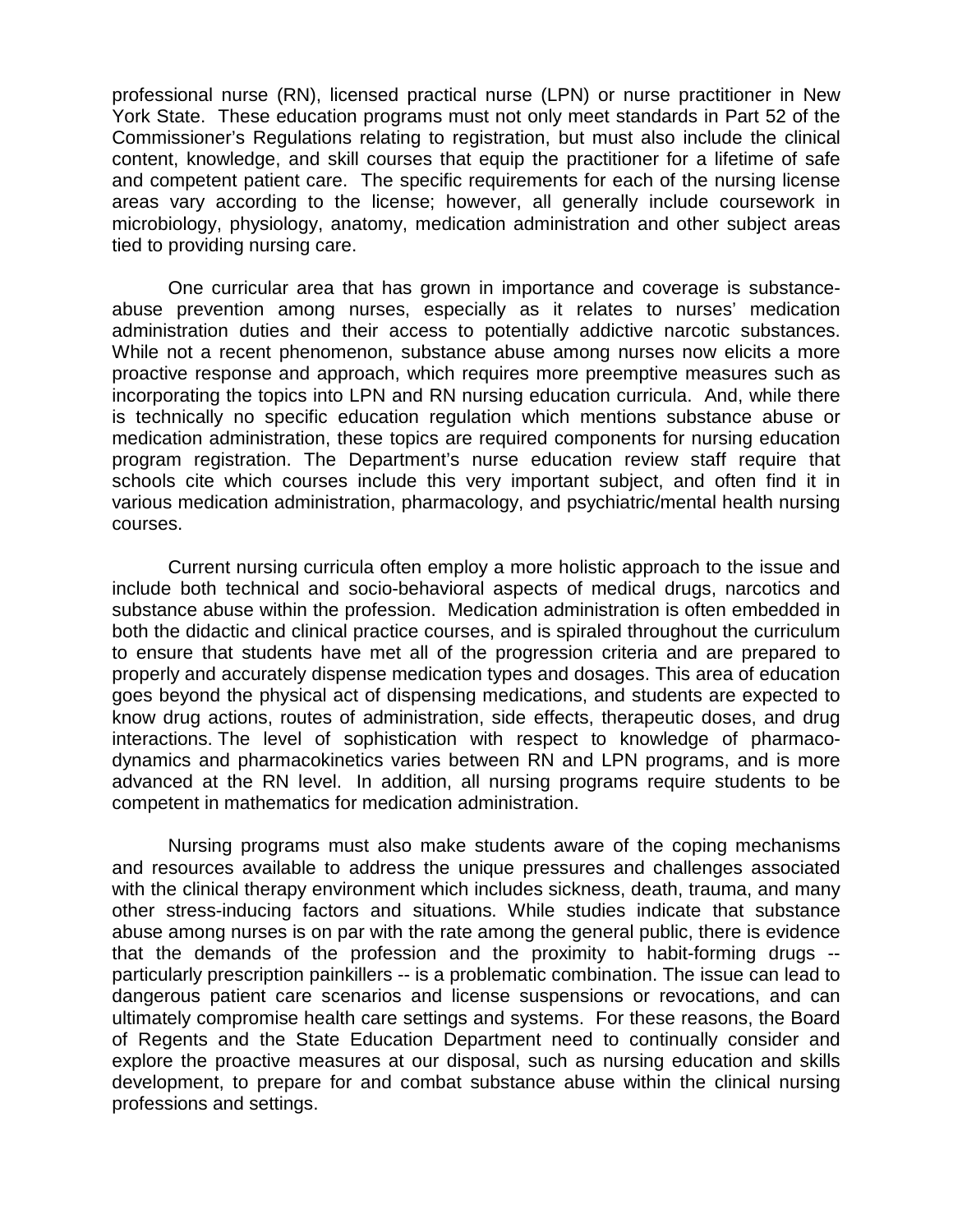professional nurse (RN), licensed practical nurse (LPN) or nurse practitioner in New York State. These education programs must not only meet standards in Part 52 of the Commissioner's Regulations relating to registration, but must also include the clinical content, knowledge, and skill courses that equip the practitioner for a lifetime of safe and competent patient care. The specific requirements for each of the nursing license areas vary according to the license; however, all generally include coursework in microbiology, physiology, anatomy, medication administration and other subject areas tied to providing nursing care.

One curricular area that has grown in importance and coverage is substanceabuse prevention among nurses, especially as it relates to nurses' medication administration duties and their access to potentially addictive narcotic substances. While not a recent phenomenon, substance abuse among nurses now elicits a more proactive response and approach, which requires more preemptive measures such as incorporating the topics into LPN and RN nursing education curricula. And, while there is technically no specific education regulation which mentions substance abuse or medication administration, these topics are required components for nursing education program registration. The Department's nurse education review staff require that schools cite which courses include this very important subject, and often find it in various medication administration, pharmacology, and psychiatric/mental health nursing courses.

Current nursing curricula often employ a more holistic approach to the issue and include both technical and socio-behavioral aspects of medical drugs, narcotics and substance abuse within the profession. Medication administration is often embedded in both the didactic and clinical practice courses, and is spiraled throughout the curriculum to ensure that students have met all of the progression criteria and are prepared to properly and accurately dispense medication types and dosages. This area of education goes beyond the physical act of dispensing medications, and students are expected to know drug actions, routes of administration, side effects, therapeutic doses, and drug interactions. The level of sophistication with respect to knowledge of pharmacodynamics and pharmacokinetics varies between RN and LPN programs, and is more advanced at the RN level. In addition, all nursing programs require students to be competent in mathematics for medication administration.

Nursing programs must also make students aware of the coping mechanisms and resources available to address the unique pressures and challenges associated with the clinical therapy environment which includes sickness, death, trauma, and many other stress-inducing factors and situations. While studies indicate that substance abuse among nurses is on par with the rate among the general public, there is evidence that the demands of the profession and the proximity to habit-forming drugs - particularly prescription painkillers -- is a problematic combination. The issue can lead to dangerous patient care scenarios and license suspensions or revocations, and can ultimately compromise health care settings and systems. For these reasons, the Board of Regents and the State Education Department need to continually consider and explore the proactive measures at our disposal, such as nursing education and skills development, to prepare for and combat substance abuse within the clinical nursing professions and settings.